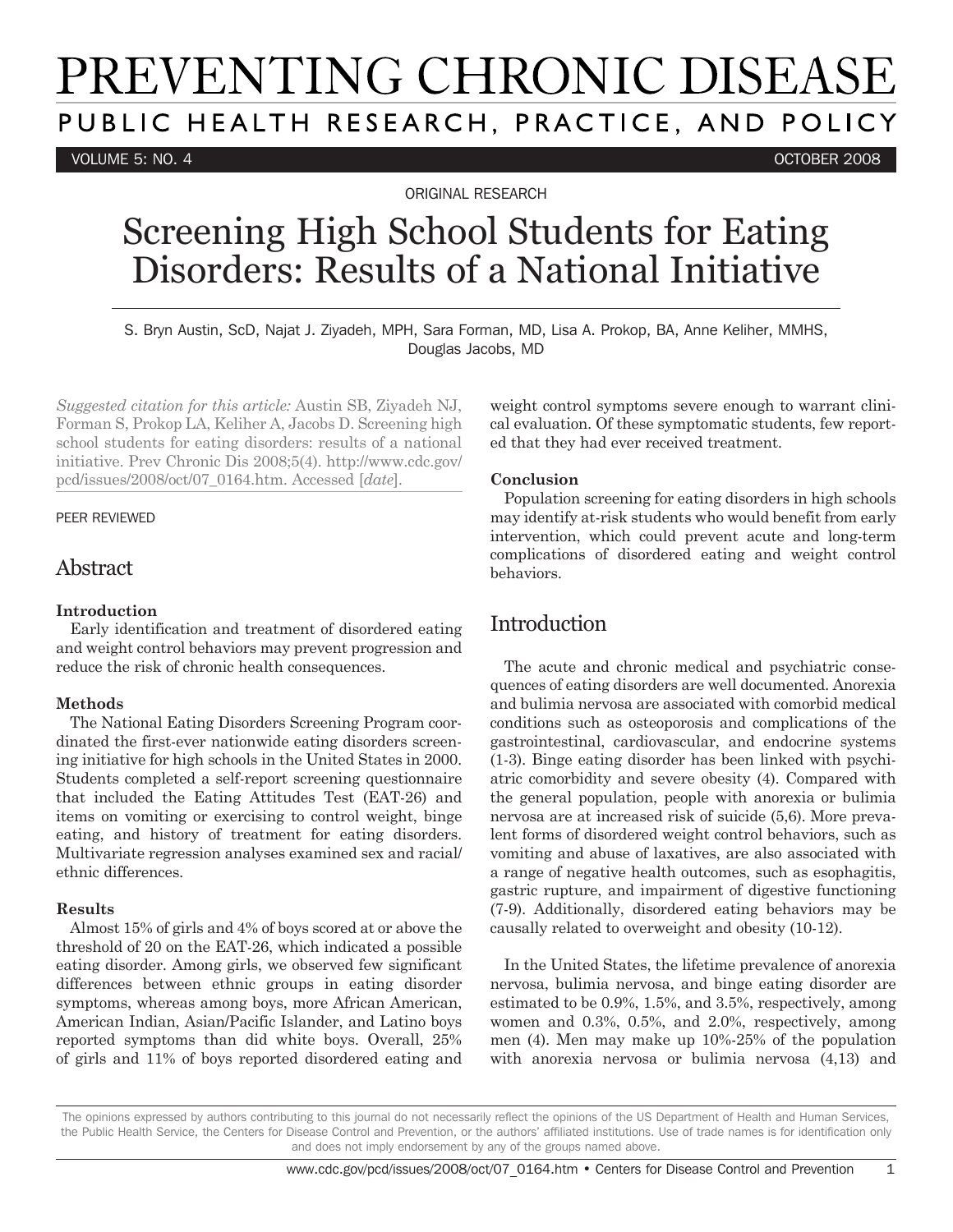# PREVENTING CHRONIC DISEASE PUBLIC HEALTH RESEARCH, PRACTICE, AND POLICY

VOLUME 5: NO. 4 OCTOBER 2008

ORIGINAL RESEARCH

## Screening High School Students for Eating Disorders: Results of a National Initiative

S. Bryn Austin, ScD, Najat J. Ziyadeh, MPH, Sara Forman, MD, Lisa A. Prokop, BA, Anne Keliher, MMHS, Douglas Jacobs, MD

*Suggested citation for this article:* Austin SB, Ziyadeh NJ, Forman S, Prokop LA, Keliher A, Jacobs D. Screening high school students for eating disorders: results of a national initiative. Prev Chronic Dis 2008;5(4). http://www.cdc.gov/ pcd/issues/2008/oct/07\_0164.htm. Accessed [*date*].

#### PEER REVIEWED

## Abstract

#### **Introduction**

Early identification and treatment of disordered eating and weight control behaviors may prevent progression and reduce the risk of chronic health consequences.

#### **Methods**

The National Eating Disorders Screening Program coordinated the first-ever nationwide eating disorders screening initiative for high schools in the United States in 2000. Students completed a self-report screening questionnaire that included the Eating Attitudes Test (EAT-26) and items on vomiting or exercising to control weight, binge eating, and history of treatment for eating disorders. Multivariate regression analyses examined sex and racial/ ethnic differences.

#### **Results**

Almost 15% of girls and 4% of boys scored at or above the threshold of 20 on the EAT-26, which indicated a possible eating disorder. Among girls, we observed few significant differences between ethnic groups in eating disorder symptoms, whereas among boys, more African American, American Indian, Asian/Pacific Islander, and Latino boys reported symptoms than did white boys. Overall, 25% of girls and 11% of boys reported disordered eating and

weight control symptoms severe enough to warrant clinical evaluation. Of these symptomatic students, few reported that they had ever received treatment.

#### **Conclusion**

Population screening for eating disorders in high schools may identify at-risk students who would benefit from early intervention, which could prevent acute and long-term complications of disordered eating and weight control behaviors.

## Introduction

The acute and chronic medical and psychiatric consequences of eating disorders are well documented. Anorexia and bulimia nervosa are associated with comorbid medical conditions such as osteoporosis and complications of the gastrointestinal, cardiovascular, and endocrine systems (1-3). Binge eating disorder has been linked with psychiatric comorbidity and severe obesity (4). Compared with the general population, people with anorexia or bulimia nervosa are at increased risk of suicide (5,6). More prevalent forms of disordered weight control behaviors, such as vomiting and abuse of laxatives, are also associated with a range of negative health outcomes, such as esophagitis, gastric rupture, and impairment of digestive functioning (7-9). Additionally, disordered eating behaviors may be causally related to overweight and obesity (10-12).

In the United States, the lifetime prevalence of anorexia nervosa, bulimia nervosa, and binge eating disorder are estimated to be 0.9%, 1.5%, and 3.5%, respectively, among women and 0.3%, 0.5%, and 2.0%, respectively, among men (4). Men may make up 10%-25% of the population with anorexia nervosa or bulimia nervosa (4,13) and

The opinions expressed by authors contributing to this journal do not necessarily reflect the opinions of the US Department of Health and Human Services, the Public Health Service, the Centers for Disease Control and Prevention, or the authors' affiliated institutions. Use of trade names is for identification only and does not imply endorsement by any of the groups named above.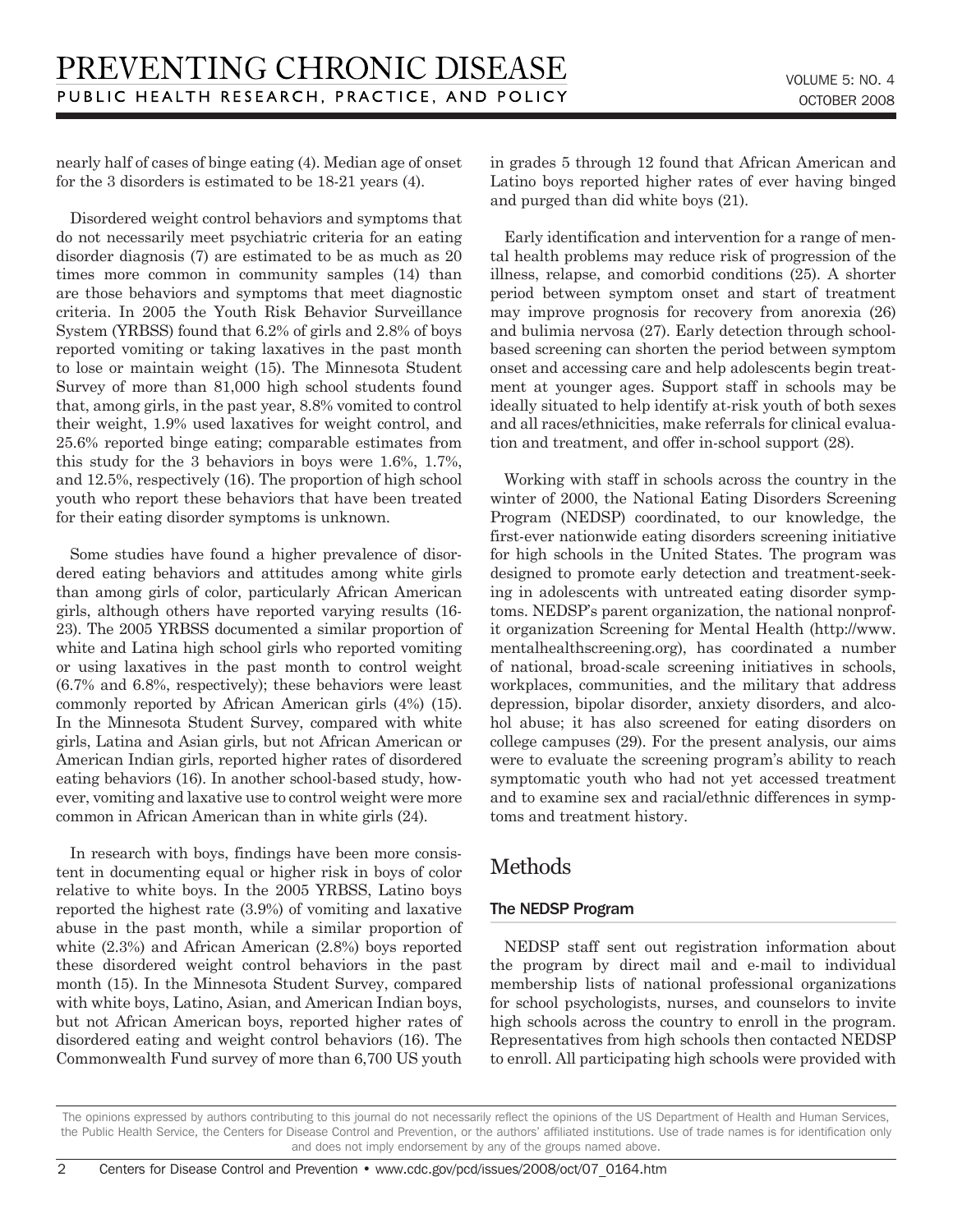nearly half of cases of binge eating (4). Median age of onset for the 3 disorders is estimated to be 18-21 years (4).

Disordered weight control behaviors and symptoms that do not necessarily meet psychiatric criteria for an eating disorder diagnosis (7) are estimated to be as much as 20 times more common in community samples (14) than are those behaviors and symptoms that meet diagnostic criteria. In 2005 the Youth Risk Behavior Surveillance System (YRBSS) found that 6.2% of girls and 2.8% of boys reported vomiting or taking laxatives in the past month to lose or maintain weight (15). The Minnesota Student Survey of more than 81,000 high school students found that, among girls, in the past year, 8.8% vomited to control their weight, 1.9% used laxatives for weight control, and 25.6% reported binge eating; comparable estimates from this study for the 3 behaviors in boys were 1.6%, 1.7%, and 12.5%, respectively (16). The proportion of high school youth who report these behaviors that have been treated for their eating disorder symptoms is unknown.

Some studies have found a higher prevalence of disordered eating behaviors and attitudes among white girls than among girls of color, particularly African American girls, although others have reported varying results (16- 23). The 2005 YRBSS documented a similar proportion of white and Latina high school girls who reported vomiting or using laxatives in the past month to control weight (6.7% and 6.8%, respectively); these behaviors were least commonly reported by African American girls (4%) (15). In the Minnesota Student Survey, compared with white girls, Latina and Asian girls, but not African American or American Indian girls, reported higher rates of disordered eating behaviors (16). In another school-based study, however, vomiting and laxative use to control weight were more common in African American than in white girls (24).

In research with boys, findings have been more consistent in documenting equal or higher risk in boys of color relative to white boys. In the 2005 YRBSS, Latino boys reported the highest rate (3.9%) of vomiting and laxative abuse in the past month, while a similar proportion of white (2.3%) and African American (2.8%) boys reported these disordered weight control behaviors in the past month (15). In the Minnesota Student Survey, compared with white boys, Latino, Asian, and American Indian boys, but not African American boys, reported higher rates of disordered eating and weight control behaviors (16). The Commonwealth Fund survey of more than 6,700 US youth in grades 5 through 12 found that African American and Latino boys reported higher rates of ever having binged and purged than did white boys (21).

Early identification and intervention for a range of mental health problems may reduce risk of progression of the illness, relapse, and comorbid conditions (25). A shorter period between symptom onset and start of treatment may improve prognosis for recovery from anorexia (26) and bulimia nervosa (27). Early detection through schoolbased screening can shorten the period between symptom onset and accessing care and help adolescents begin treatment at younger ages. Support staff in schools may be ideally situated to help identify at-risk youth of both sexes and all races/ethnicities, make referrals for clinical evaluation and treatment, and offer in-school support (28).

Working with staff in schools across the country in the winter of 2000, the National Eating Disorders Screening Program (NEDSP) coordinated, to our knowledge, the first-ever nationwide eating disorders screening initiative for high schools in the United States. The program was designed to promote early detection and treatment-seeking in adolescents with untreated eating disorder symptoms. NEDSP's parent organization, the national nonprofit organization Screening for Mental Health (http://www. mentalhealthscreening.org), has coordinated a number of national, broad-scale screening initiatives in schools, workplaces, communities, and the military that address depression, bipolar disorder, anxiety disorders, and alcohol abuse; it has also screened for eating disorders on college campuses (29). For the present analysis, our aims were to evaluate the screening program's ability to reach symptomatic youth who had not yet accessed treatment and to examine sex and racial/ethnic differences in symptoms and treatment history.

## Methods

#### The NEDSP Program

NEDSP staff sent out registration information about the program by direct mail and e-mail to individual membership lists of national professional organizations for school psychologists, nurses, and counselors to invite high schools across the country to enroll in the program. Representatives from high schools then contacted NEDSP to enroll. All participating high schools were provided with

The opinions expressed by authors contributing to this journal do not necessarily reflect the opinions of the US Department of Health and Human Services, the Public Health Service, the Centers for Disease Control and Prevention, or the authors' affiliated institutions. Use of trade names is for identification only and does not imply endorsement by any of the groups named above.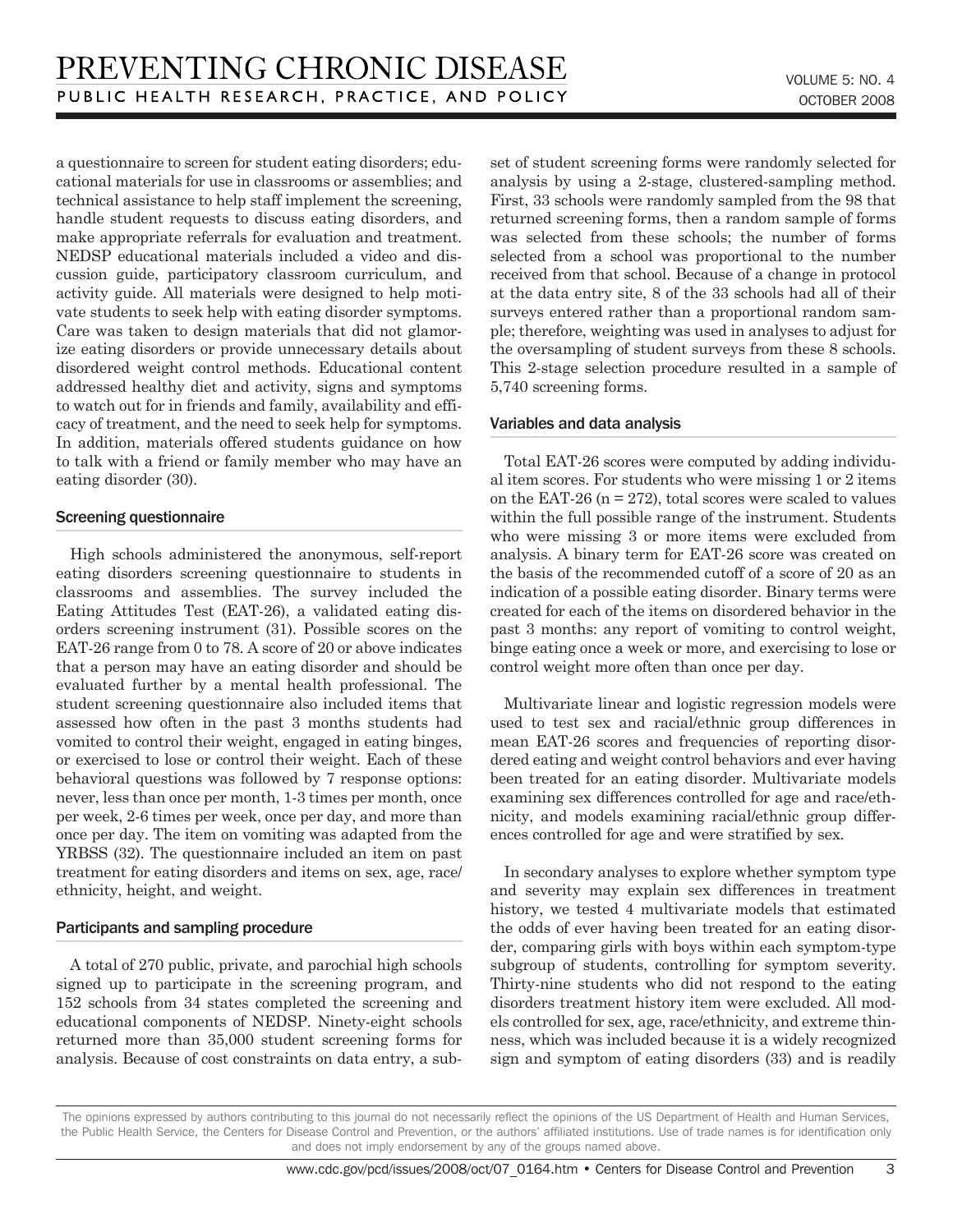a questionnaire to screen for student eating disorders; educational materials for use in classrooms or assemblies; and technical assistance to help staff implement the screening, handle student requests to discuss eating disorders, and make appropriate referrals for evaluation and treatment. NEDSP educational materials included a video and discussion guide, participatory classroom curriculum, and activity guide. All materials were designed to help motivate students to seek help with eating disorder symptoms. Care was taken to design materials that did not glamorize eating disorders or provide unnecessary details about disordered weight control methods. Educational content addressed healthy diet and activity, signs and symptoms to watch out for in friends and family, availability and efficacy of treatment, and the need to seek help for symptoms. In addition, materials offered students guidance on how to talk with a friend or family member who may have an eating disorder (30).

#### Screening questionnaire

High schools administered the anonymous, self-report eating disorders screening questionnaire to students in classrooms and assemblies. The survey included the Eating Attitudes Test (EAT-26), a validated eating disorders screening instrument (31). Possible scores on the EAT-26 range from 0 to 78. A score of 20 or above indicates that a person may have an eating disorder and should be evaluated further by a mental health professional. The student screening questionnaire also included items that assessed how often in the past 3 months students had vomited to control their weight, engaged in eating binges, or exercised to lose or control their weight. Each of these behavioral questions was followed by 7 response options: never, less than once per month, 1-3 times per month, once per week, 2-6 times per week, once per day, and more than once per day. The item on vomiting was adapted from the YRBSS (32). The questionnaire included an item on past treatment for eating disorders and items on sex, age, race/ ethnicity, height, and weight.

#### Participants and sampling procedure

A total of 270 public, private, and parochial high schools signed up to participate in the screening program, and 152 schools from 34 states completed the screening and educational components of NEDSP. Ninety-eight schools returned more than 35,000 student screening forms for analysis. Because of cost constraints on data entry, a subset of student screening forms were randomly selected for analysis by using a 2-stage, clustered-sampling method. First, 33 schools were randomly sampled from the 98 that returned screening forms, then a random sample of forms was selected from these schools; the number of forms selected from a school was proportional to the number received from that school. Because of a change in protocol at the data entry site, 8 of the 33 schools had all of their surveys entered rather than a proportional random sample; therefore, weighting was used in analyses to adjust for the oversampling of student surveys from these 8 schools. This 2-stage selection procedure resulted in a sample of 5,740 screening forms.

#### Variables and data analysis

Total EAT-26 scores were computed by adding individual item scores. For students who were missing 1 or 2 items on the EAT-26 ( $n = 272$ ), total scores were scaled to values within the full possible range of the instrument. Students who were missing 3 or more items were excluded from analysis. A binary term for EAT-26 score was created on the basis of the recommended cutoff of a score of 20 as an indication of a possible eating disorder. Binary terms were created for each of the items on disordered behavior in the past 3 months: any report of vomiting to control weight, binge eating once a week or more, and exercising to lose or control weight more often than once per day.

Multivariate linear and logistic regression models were used to test sex and racial/ethnic group differences in mean EAT-26 scores and frequencies of reporting disordered eating and weight control behaviors and ever having been treated for an eating disorder. Multivariate models examining sex differences controlled for age and race/ethnicity, and models examining racial/ethnic group differences controlled for age and were stratified by sex.

In secondary analyses to explore whether symptom type and severity may explain sex differences in treatment history, we tested 4 multivariate models that estimated the odds of ever having been treated for an eating disorder, comparing girls with boys within each symptom-type subgroup of students, controlling for symptom severity. Thirty-nine students who did not respond to the eating disorders treatment history item were excluded. All models controlled for sex, age, race/ethnicity, and extreme thinness, which was included because it is a widely recognized sign and symptom of eating disorders (33) and is readily

The opinions expressed by authors contributing to this journal do not necessarily reflect the opinions of the US Department of Health and Human Services, the Public Health Service, the Centers for Disease Control and Prevention, or the authors' affiliated institutions. Use of trade names is for identification only and does not imply endorsement by any of the groups named above.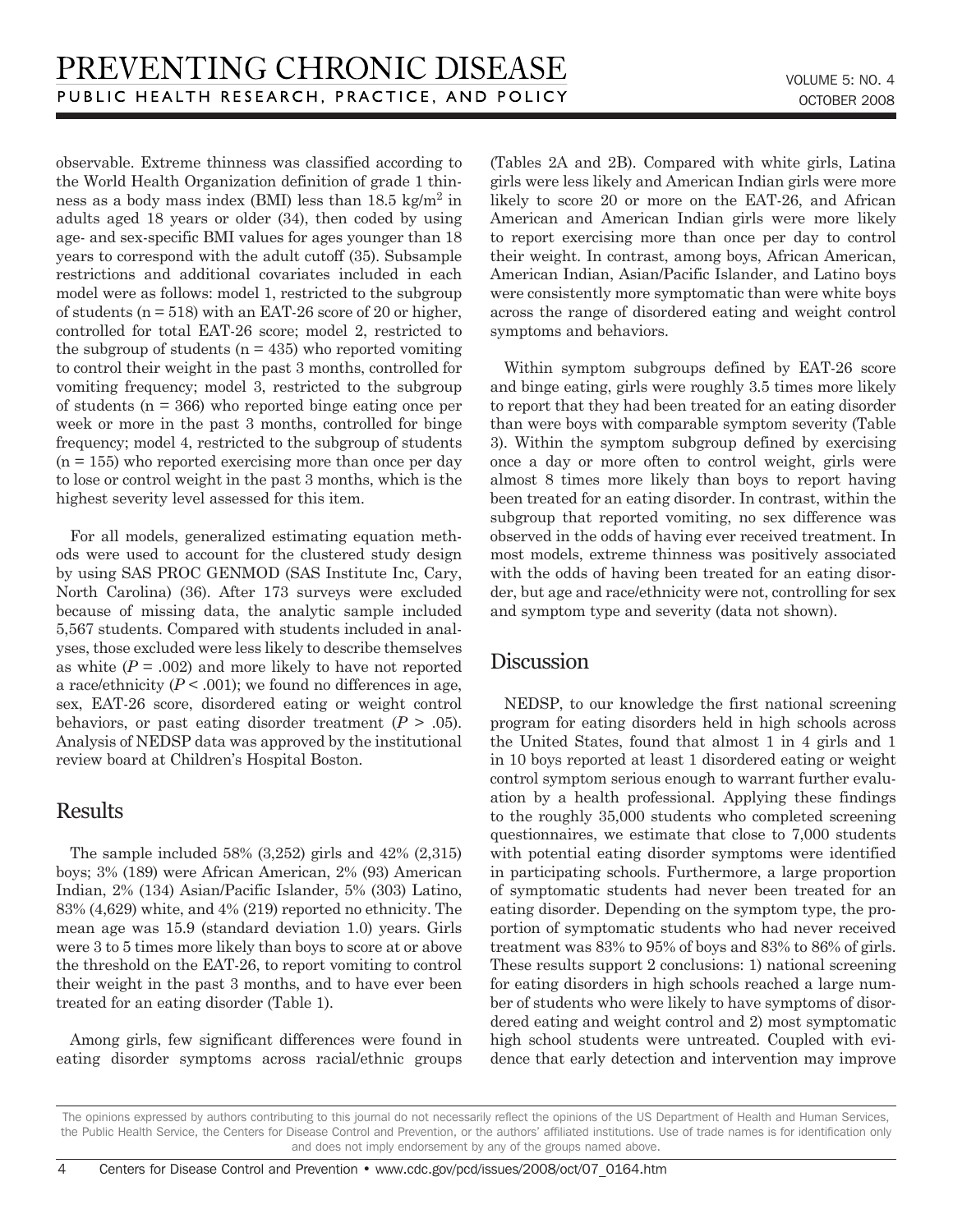observable. Extreme thinness was classified according to the World Health Organization definition of grade 1 thinness as a body mass index (BMI) less than  $18.5 \text{ kg/m}^2$  in adults aged 18 years or older (34), then coded by using age- and sex-specific BMI values for ages younger than 18 years to correspond with the adult cutoff (35). Subsample restrictions and additional covariates included in each model were as follows: model 1, restricted to the subgroup of students ( $n = 518$ ) with an EAT-26 score of 20 or higher, controlled for total EAT-26 score; model 2, restricted to the subgroup of students  $(n = 435)$  who reported vomiting to control their weight in the past 3 months, controlled for vomiting frequency; model 3, restricted to the subgroup of students (n = 366) who reported binge eating once per week or more in the past 3 months, controlled for binge frequency; model 4, restricted to the subgroup of students  $(n = 155)$  who reported exercising more than once per day to lose or control weight in the past 3 months, which is the highest severity level assessed for this item.

For all models, generalized estimating equation methods were used to account for the clustered study design by using SAS PROC GENMOD (SAS Institute Inc, Cary, North Carolina) (36). After 173 surveys were excluded because of missing data, the analytic sample included 5,567 students. Compared with students included in analyses, those excluded were less likely to describe themselves as white  $(P = .002)$  and more likely to have not reported a race/ethnicity  $(P < .001)$ ; we found no differences in age, sex, EAT-26 score, disordered eating or weight control behaviors, or past eating disorder treatment  $(P > .05)$ . Analysis of NEDSP data was approved by the institutional review board at Children's Hospital Boston.

## Results

The sample included  $58\%$   $(3,252)$  girls and  $42\%$   $(2,315)$ boys; 3% (189) were African American, 2% (93) American Indian, 2% (134) Asian/Pacific Islander, 5% (303) Latino, 83% (4,629) white, and 4% (219) reported no ethnicity. The mean age was 15.9 (standard deviation 1.0) years. Girls were 3 to 5 times more likely than boys to score at or above the threshold on the EAT-26, to report vomiting to control their weight in the past 3 months, and to have ever been treated for an eating disorder (Table 1).

Among girls, few significant differences were found in eating disorder symptoms across racial/ethnic groups (Tables 2A and 2B). Compared with white girls, Latina girls were less likely and American Indian girls were more likely to score 20 or more on the EAT-26, and African American and American Indian girls were more likely to report exercising more than once per day to control their weight. In contrast, among boys, African American, American Indian, Asian/Pacific Islander, and Latino boys were consistently more symptomatic than were white boys across the range of disordered eating and weight control symptoms and behaviors.

Within symptom subgroups defined by EAT-26 score and binge eating, girls were roughly 3.5 times more likely to report that they had been treated for an eating disorder than were boys with comparable symptom severity (Table 3). Within the symptom subgroup defined by exercising once a day or more often to control weight, girls were almost 8 times more likely than boys to report having been treated for an eating disorder. In contrast, within the subgroup that reported vomiting, no sex difference was observed in the odds of having ever received treatment. In most models, extreme thinness was positively associated with the odds of having been treated for an eating disorder, but age and race/ethnicity were not, controlling for sex and symptom type and severity (data not shown).

## **Discussion**

NEDSP, to our knowledge the first national screening program for eating disorders held in high schools across the United States, found that almost 1 in 4 girls and 1 in 10 boys reported at least 1 disordered eating or weight control symptom serious enough to warrant further evaluation by a health professional. Applying these findings to the roughly 35,000 students who completed screening questionnaires, we estimate that close to 7,000 students with potential eating disorder symptoms were identified in participating schools. Furthermore, a large proportion of symptomatic students had never been treated for an eating disorder. Depending on the symptom type, the proportion of symptomatic students who had never received treatment was 83% to 95% of boys and 83% to 86% of girls. These results support 2 conclusions: 1) national screening for eating disorders in high schools reached a large number of students who were likely to have symptoms of disordered eating and weight control and 2) most symptomatic high school students were untreated. Coupled with evidence that early detection and intervention may improve

The opinions expressed by authors contributing to this journal do not necessarily reflect the opinions of the US Department of Health and Human Services, the Public Health Service, the Centers for Disease Control and Prevention, or the authors' affiliated institutions. Use of trade names is for identification only and does not imply endorsement by any of the groups named above.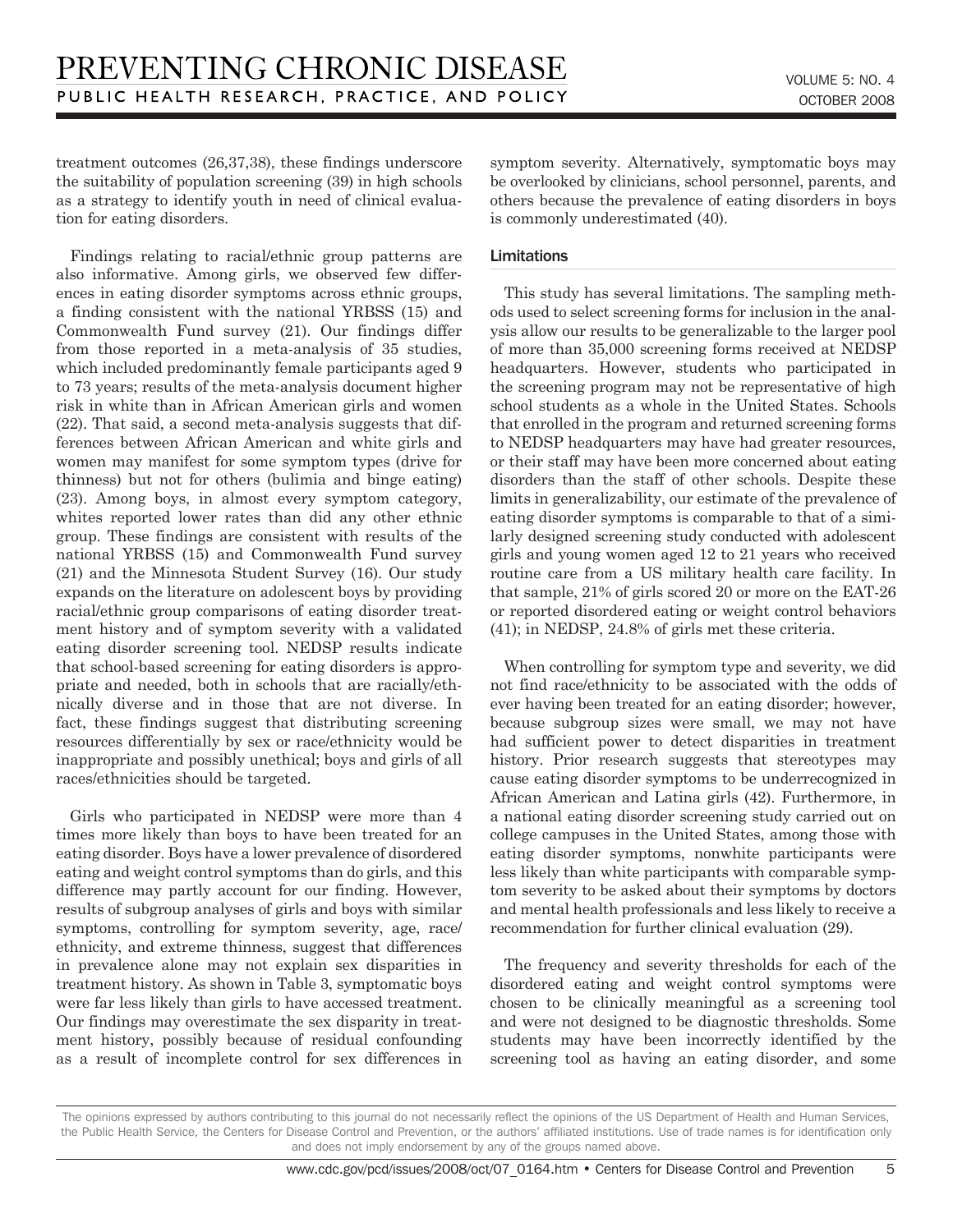treatment outcomes (26,37,38), these findings underscore the suitability of population screening (39) in high schools as a strategy to identify youth in need of clinical evaluation for eating disorders.

Findings relating to racial/ethnic group patterns are also informative. Among girls, we observed few differences in eating disorder symptoms across ethnic groups, a finding consistent with the national YRBSS (15) and Commonwealth Fund survey (21). Our findings differ from those reported in a meta-analysis of 35 studies, which included predominantly female participants aged 9 to 73 years; results of the meta-analysis document higher risk in white than in African American girls and women (22). That said, a second meta-analysis suggests that differences between African American and white girls and women may manifest for some symptom types (drive for thinness) but not for others (bulimia and binge eating) (23). Among boys, in almost every symptom category, whites reported lower rates than did any other ethnic group. These findings are consistent with results of the national YRBSS (15) and Commonwealth Fund survey (21) and the Minnesota Student Survey (16). Our study expands on the literature on adolescent boys by providing racial/ethnic group comparisons of eating disorder treatment history and of symptom severity with a validated eating disorder screening tool. NEDSP results indicate that school-based screening for eating disorders is appropriate and needed, both in schools that are racially/ethnically diverse and in those that are not diverse. In fact, these findings suggest that distributing screening resources differentially by sex or race/ethnicity would be inappropriate and possibly unethical; boys and girls of all races/ethnicities should be targeted.

Girls who participated in NEDSP were more than 4 times more likely than boys to have been treated for an eating disorder. Boys have a lower prevalence of disordered eating and weight control symptoms than do girls, and this difference may partly account for our finding. However, results of subgroup analyses of girls and boys with similar symptoms, controlling for symptom severity, age, race/ ethnicity, and extreme thinness, suggest that differences in prevalence alone may not explain sex disparities in treatment history. As shown in Table 3, symptomatic boys were far less likely than girls to have accessed treatment. Our findings may overestimate the sex disparity in treatment history, possibly because of residual confounding as a result of incomplete control for sex differences in symptom severity. Alternatively, symptomatic boys may be overlooked by clinicians, school personnel, parents, and others because the prevalence of eating disorders in boys is commonly underestimated (40).

#### Limitations

This study has several limitations. The sampling methods used to select screening forms for inclusion in the analysis allow our results to be generalizable to the larger pool of more than 35,000 screening forms received at NEDSP headquarters. However, students who participated in the screening program may not be representative of high school students as a whole in the United States. Schools that enrolled in the program and returned screening forms to NEDSP headquarters may have had greater resources, or their staff may have been more concerned about eating disorders than the staff of other schools. Despite these limits in generalizability, our estimate of the prevalence of eating disorder symptoms is comparable to that of a similarly designed screening study conducted with adolescent girls and young women aged 12 to 21 years who received routine care from a US military health care facility. In that sample, 21% of girls scored 20 or more on the EAT-26 or reported disordered eating or weight control behaviors (41); in NEDSP, 24.8% of girls met these criteria.

When controlling for symptom type and severity, we did not find race/ethnicity to be associated with the odds of ever having been treated for an eating disorder; however, because subgroup sizes were small, we may not have had sufficient power to detect disparities in treatment history. Prior research suggests that stereotypes may cause eating disorder symptoms to be underrecognized in African American and Latina girls (42). Furthermore, in a national eating disorder screening study carried out on college campuses in the United States, among those with eating disorder symptoms, nonwhite participants were less likely than white participants with comparable symptom severity to be asked about their symptoms by doctors and mental health professionals and less likely to receive a recommendation for further clinical evaluation (29).

The frequency and severity thresholds for each of the disordered eating and weight control symptoms were chosen to be clinically meaningful as a screening tool and were not designed to be diagnostic thresholds. Some students may have been incorrectly identified by the screening tool as having an eating disorder, and some

The opinions expressed by authors contributing to this journal do not necessarily reflect the opinions of the US Department of Health and Human Services, the Public Health Service, the Centers for Disease Control and Prevention, or the authors' affiliated institutions. Use of trade names is for identification only and does not imply endorsement by any of the groups named above.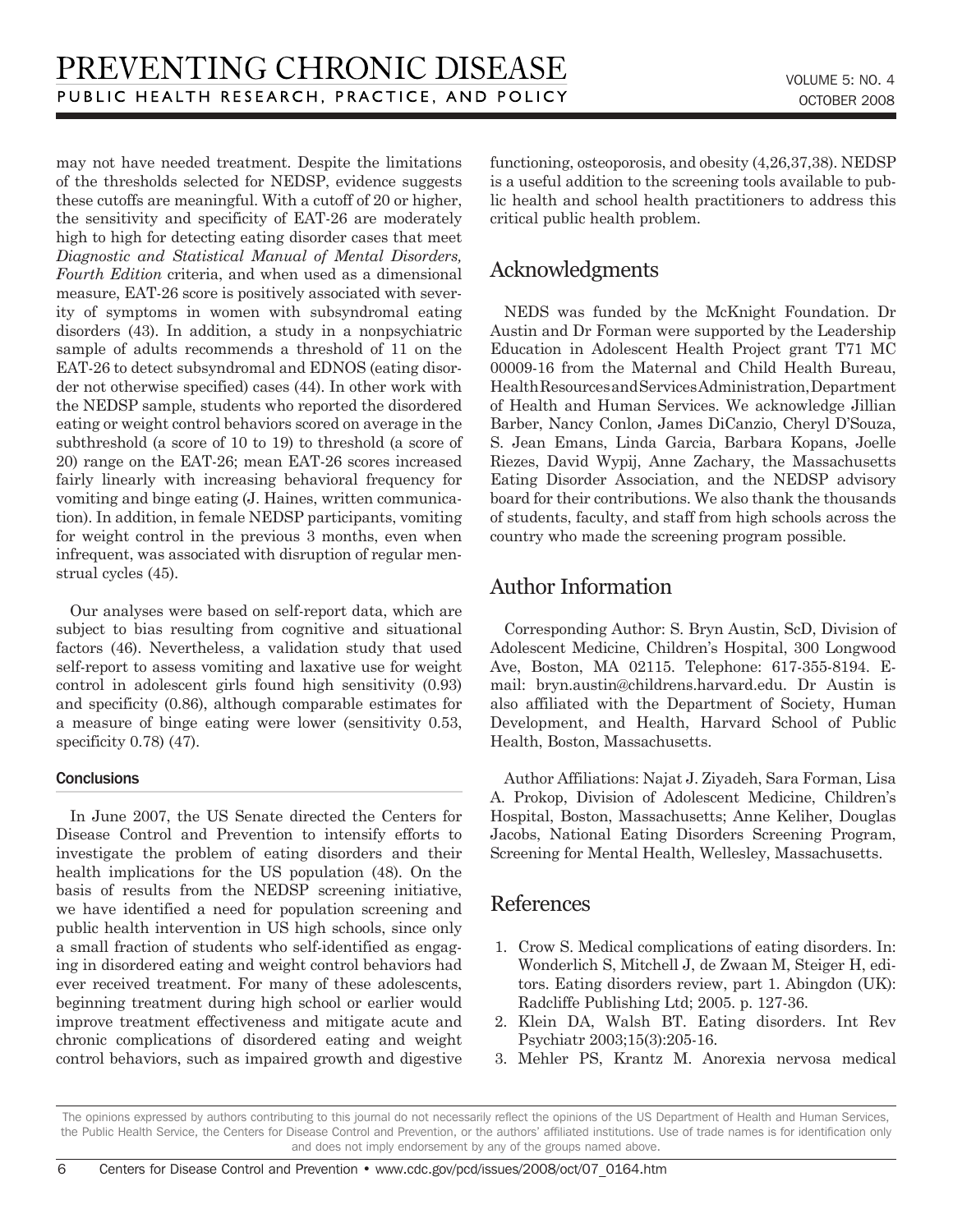may not have needed treatment. Despite the limitations of the thresholds selected for NEDSP, evidence suggests these cutoffs are meaningful. With a cutoff of 20 or higher, the sensitivity and specificity of EAT-26 are moderately high to high for detecting eating disorder cases that meet *Diagnostic and Statistical Manual of Mental Disorders, Fourth Edition* criteria, and when used as a dimensional measure, EAT-26 score is positively associated with severity of symptoms in women with subsyndromal eating disorders (43). In addition, a study in a nonpsychiatric sample of adults recommends a threshold of 11 on the EAT-26 to detect subsyndromal and EDNOS (eating disorder not otherwise specified) cases (44). In other work with the NEDSP sample, students who reported the disordered eating or weight control behaviors scored on average in the subthreshold (a score of 10 to 19) to threshold (a score of 20) range on the EAT-26; mean EAT-26 scores increased fairly linearly with increasing behavioral frequency for vomiting and binge eating (J. Haines, written communication). In addition, in female NEDSP participants, vomiting for weight control in the previous 3 months, even when infrequent, was associated with disruption of regular menstrual cycles (45).

Our analyses were based on self-report data, which are subject to bias resulting from cognitive and situational factors (46). Nevertheless, a validation study that used self-report to assess vomiting and laxative use for weight control in adolescent girls found high sensitivity (0.93) and specificity (0.86), although comparable estimates for a measure of binge eating were lower (sensitivity 0.53, specificity 0.78) (47).

#### **Conclusions**

In June 2007, the US Senate directed the Centers for Disease Control and Prevention to intensify efforts to investigate the problem of eating disorders and their health implications for the US population (48). On the basis of results from the NEDSP screening initiative, we have identified a need for population screening and public health intervention in US high schools, since only a small fraction of students who self-identified as engaging in disordered eating and weight control behaviors had ever received treatment. For many of these adolescents, beginning treatment during high school or earlier would improve treatment effectiveness and mitigate acute and chronic complications of disordered eating and weight control behaviors, such as impaired growth and digestive functioning, osteoporosis, and obesity (4,26,37,38). NEDSP is a useful addition to the screening tools available to public health and school health practitioners to address this critical public health problem.

## Acknowledgments

NEDS was funded by the McKnight Foundation. Dr Austin and Dr Forman were supported by the Leadership Education in Adolescent Health Project grant T71 MC 00009-16 from the Maternal and Child Health Bureau, Health Resources and Services Administration, Department of Health and Human Services. We acknowledge Jillian Barber, Nancy Conlon, James DiCanzio, Cheryl D'Souza, S. Jean Emans, Linda Garcia, Barbara Kopans, Joelle Riezes, David Wypij, Anne Zachary, the Massachusetts Eating Disorder Association, and the NEDSP advisory board for their contributions. We also thank the thousands of students, faculty, and staff from high schools across the country who made the screening program possible.

## Author Information

Corresponding Author: S. Bryn Austin, ScD, Division of Adolescent Medicine, Children's Hospital, 300 Longwood Ave, Boston, MA 02115. Telephone: 617-355-8194. Email: bryn.austin@childrens.harvard.edu. Dr Austin is also affiliated with the Department of Society, Human Development, and Health, Harvard School of Public Health, Boston, Massachusetts.

Author Affiliations: Najat J. Ziyadeh, Sara Forman, Lisa A. Prokop, Division of Adolescent Medicine, Children's Hospital, Boston, Massachusetts; Anne Keliher, Douglas Jacobs, National Eating Disorders Screening Program, Screening for Mental Health, Wellesley, Massachusetts.

### References

- 1. Crow S. Medical complications of eating disorders. In: Wonderlich S, Mitchell J, de Zwaan M, Steiger H, editors. Eating disorders review, part 1. Abingdon (UK): Radcliffe Publishing Ltd; 2005. p. 127-36.
- 2. Klein DA, Walsh BT. Eating disorders. Int Rev Psychiatr 2003;15(3):205-16.
- 3. Mehler PS, Krantz M. Anorexia nervosa medical

The opinions expressed by authors contributing to this journal do not necessarily reflect the opinions of the US Department of Health and Human Services, the Public Health Service, the Centers for Disease Control and Prevention, or the authors' affiliated institutions. Use of trade names is for identification only and does not imply endorsement by any of the groups named above.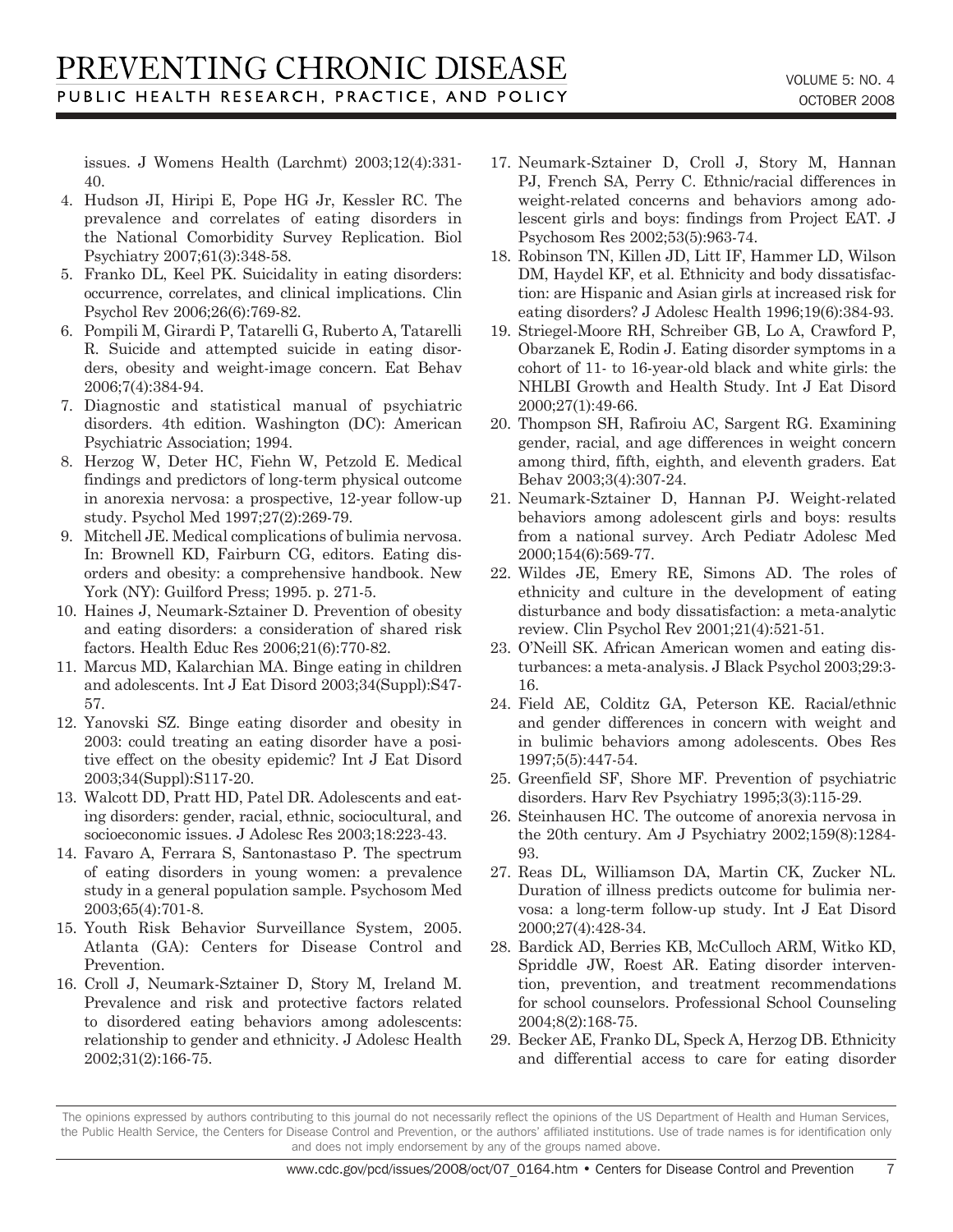issues. J Womens Health (Larchmt) 2003;12(4):331- 40.

- 4. Hudson JI, Hiripi E, Pope HG Jr, Kessler RC. The prevalence and correlates of eating disorders in the National Comorbidity Survey Replication. Biol Psychiatry 2007;61(3):348-58.
- 5. Franko DL, Keel PK. Suicidality in eating disorders: occurrence, correlates, and clinical implications. Clin Psychol Rev 2006;26(6):769-82.
- 6. Pompili M, Girardi P, Tatarelli G, Ruberto A, Tatarelli R. Suicide and attempted suicide in eating disorders, obesity and weight-image concern. Eat Behav 2006;7(4):384-94.
- 7. Diagnostic and statistical manual of psychiatric disorders. 4th edition. Washington (DC): American Psychiatric Association; 1994.
- 8. Herzog W, Deter HC, Fiehn W, Petzold E. Medical findings and predictors of long-term physical outcome in anorexia nervosa: a prospective, 12-year follow-up study. Psychol Med 1997;27(2):269-79.
- 9. Mitchell JE. Medical complications of bulimia nervosa. In: Brownell KD, Fairburn CG, editors. Eating disorders and obesity: a comprehensive handbook. New York (NY): Guilford Press; 1995. p. 271-5.
- 10. Haines J, Neumark-Sztainer D. Prevention of obesity and eating disorders: a consideration of shared risk factors. Health Educ Res 2006;21(6):770-82.
- 11. Marcus MD, Kalarchian MA. Binge eating in children and adolescents. Int J Eat Disord 2003;34(Suppl):S47- 57.
- 12. Yanovski SZ. Binge eating disorder and obesity in 2003: could treating an eating disorder have a positive effect on the obesity epidemic? Int J Eat Disord 2003;34(Suppl):S117-20.
- 13. Walcott DD, Pratt HD, Patel DR. Adolescents and eating disorders: gender, racial, ethnic, sociocultural, and socioeconomic issues. J Adolesc Res 2003;18:223-43.
- 14. Favaro A, Ferrara S, Santonastaso P. The spectrum of eating disorders in young women: a prevalence study in a general population sample. Psychosom Med 2003;65(4):701-8.
- 15. Youth Risk Behavior Surveillance System, 2005. Atlanta (GA): Centers for Disease Control and Prevention.
- 16. Croll J, Neumark-Sztainer D, Story M, Ireland M. Prevalence and risk and protective factors related to disordered eating behaviors among adolescents: relationship to gender and ethnicity. J Adolesc Health 2002;31(2):166-75.
- 17. Neumark-Sztainer D, Croll J, Story M, Hannan PJ, French SA, Perry C. Ethnic/racial differences in weight-related concerns and behaviors among adolescent girls and boys: findings from Project EAT. J Psychosom Res 2002;53(5):963-74.
- 18. Robinson TN, Killen JD, Litt IF, Hammer LD, Wilson DM, Haydel KF, et al. Ethnicity and body dissatisfaction: are Hispanic and Asian girls at increased risk for eating disorders? J Adolesc Health 1996;19(6):384-93.
- 19. Striegel-Moore RH, Schreiber GB, Lo A, Crawford P, Obarzanek E, Rodin J. Eating disorder symptoms in a cohort of 11- to 16-year-old black and white girls: the NHLBI Growth and Health Study. Int J Eat Disord 2000;27(1):49-66.
- 20. Thompson SH, Rafiroiu AC, Sargent RG. Examining gender, racial, and age differences in weight concern among third, fifth, eighth, and eleventh graders. Eat Behav 2003;3(4):307-24.
- 21. Neumark-Sztainer D, Hannan PJ. Weight-related behaviors among adolescent girls and boys: results from a national survey. Arch Pediatr Adolesc Med 2000;154(6):569-77.
- 22. Wildes JE, Emery RE, Simons AD. The roles of ethnicity and culture in the development of eating disturbance and body dissatisfaction: a meta-analytic review. Clin Psychol Rev 2001;21(4):521-51.
- 23. O'Neill SK. African American women and eating disturbances: a meta-analysis. J Black Psychol 2003;29:3- 16.
- 24. Field AE, Colditz GA, Peterson KE. Racial/ethnic and gender differences in concern with weight and in bulimic behaviors among adolescents. Obes Res 1997;5(5):447-54.
- 25. Greenfield SF, Shore MF. Prevention of psychiatric disorders. Harv Rev Psychiatry 1995;3(3):115-29.
- 26. Steinhausen HC. The outcome of anorexia nervosa in the 20th century. Am J Psychiatry 2002;159(8):1284- 93.
- 27. Reas DL, Williamson DA, Martin CK, Zucker NL. Duration of illness predicts outcome for bulimia nervosa: a long-term follow-up study. Int J Eat Disord 2000;27(4):428-34.
- 28. Bardick AD, Berries KB, McCulloch ARM, Witko KD, Spriddle JW, Roest AR. Eating disorder intervention, prevention, and treatment recommendations for school counselors. Professional School Counseling 2004;8(2):168-75.
- 29. Becker AE, Franko DL, Speck A, Herzog DB. Ethnicity and differential access to care for eating disorder

 $\overline{7}$ 

The opinions expressed by authors contributing to this journal do not necessarily reflect the opinions of the US Department of Health and Human Services, the Public Health Service, the Centers for Disease Control and Prevention, or the authors' affiliated institutions. Use of trade names is for identification only and does not imply endorsement by any of the groups named above.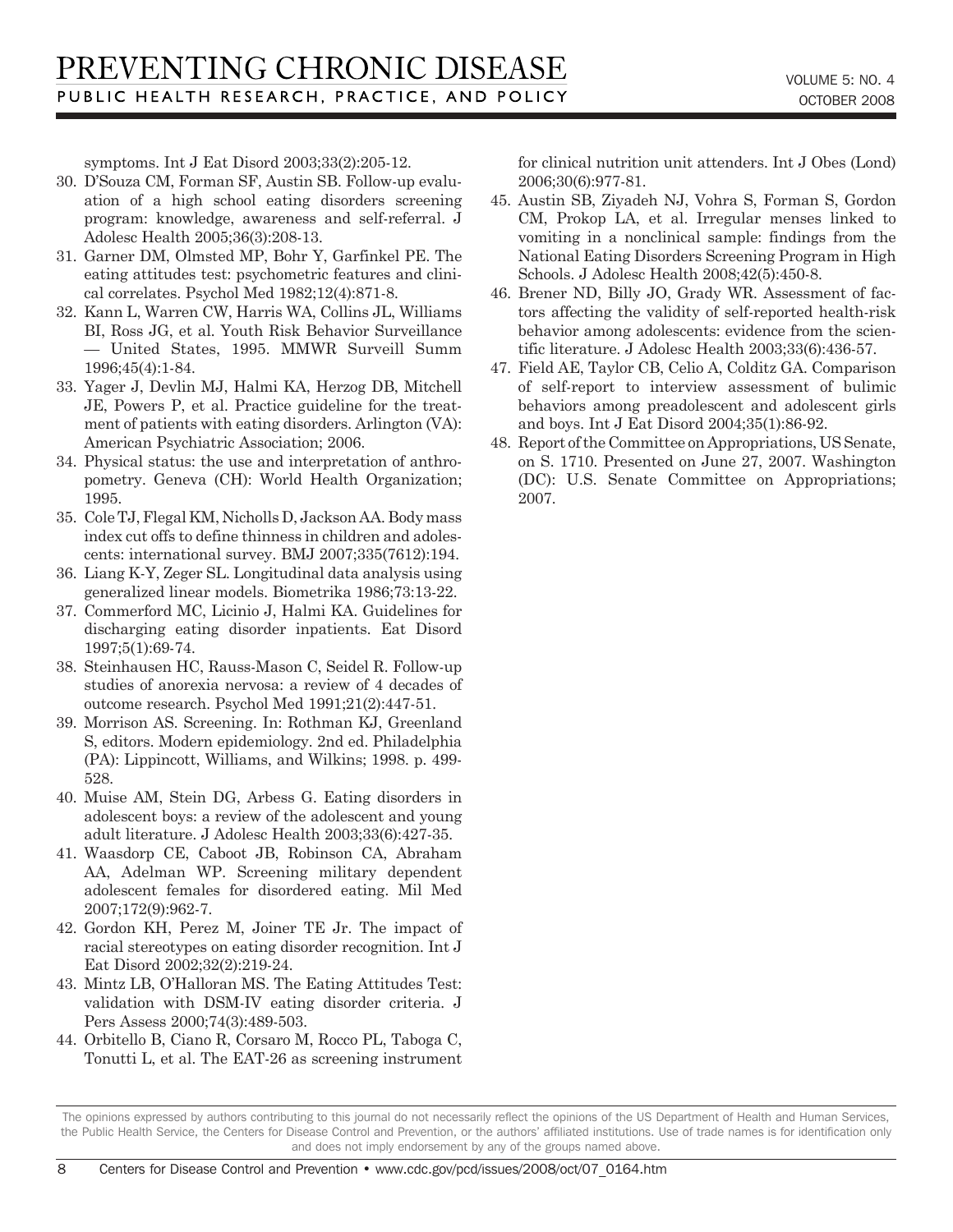symptoms. Int J Eat Disord 2003;33(2):205-12.

- 30. D'Souza CM, Forman SF, Austin SB. Follow-up evaluation of a high school eating disorders screening program: knowledge, awareness and self-referral. J Adolesc Health 2005;36(3):208-13.
- 31. Garner DM, Olmsted MP, Bohr Y, Garfinkel PE. The eating attitudes test: psychometric features and clinical correlates. Psychol Med 1982;12(4):871-8.
- 32. Kann L, Warren CW, Harris WA, Collins JL, Williams BI, Ross JG, et al. Youth Risk Behavior Surveillance — United States, 1995. MMWR Surveill Summ 1996;45(4):1-84.
- 33. Yager J, Devlin MJ, Halmi KA, Herzog DB, Mitchell JE, Powers P, et al. Practice guideline for the treatment of patients with eating disorders. Arlington (VA): American Psychiatric Association; 2006.
- 34. Physical status: the use and interpretation of anthropometry. Geneva (CH): World Health Organization; 1995.
- 35. Cole TJ, Flegal KM, Nicholls D, Jackson AA. Body mass index cut offs to define thinness in children and adolescents: international survey. BMJ 2007;335(7612):194.
- 36. Liang K-Y, Zeger SL. Longitudinal data analysis using generalized linear models. Biometrika 1986;73:13-22.
- 37. Commerford MC, Licinio J, Halmi KA. Guidelines for discharging eating disorder inpatients. Eat Disord 1997;5(1):69-74.
- 38. Steinhausen HC, Rauss-Mason C, Seidel R. Follow-up studies of anorexia nervosa: a review of 4 decades of outcome research. Psychol Med 1991;21(2):447-51.
- 39. Morrison AS. Screening. In: Rothman KJ, Greenland S, editors. Modern epidemiology. 2nd ed. Philadelphia (PA): Lippincott, Williams, and Wilkins; 1998. p. 499- 528.
- 40. Muise AM, Stein DG, Arbess G. Eating disorders in adolescent boys: a review of the adolescent and young adult literature. J Adolesc Health 2003;33(6):427-35.
- 41. Waasdorp CE, Caboot JB, Robinson CA, Abraham AA, Adelman WP. Screening military dependent adolescent females for disordered eating. Mil Med 2007;172(9):962-7.
- 42. Gordon KH, Perez M, Joiner TE Jr. The impact of racial stereotypes on eating disorder recognition. Int J Eat Disord 2002;32(2):219-24.
- 43. Mintz LB, O'Halloran MS. The Eating Attitudes Test: validation with DSM-IV eating disorder criteria. J Pers Assess 2000;74(3):489-503.
- 44. Orbitello B, Ciano R, Corsaro M, Rocco PL, Taboga C, Tonutti L, et al. The EAT-26 as screening instrument

for clinical nutrition unit attenders. Int J Obes (Lond) 2006;30(6):977-81.

- 45. Austin SB, Ziyadeh NJ, Vohra S, Forman S, Gordon CM, Prokop LA, et al. Irregular menses linked to vomiting in a nonclinical sample: findings from the National Eating Disorders Screening Program in High Schools. J Adolesc Health 2008;42(5):450-8.
- 46. Brener ND, Billy JO, Grady WR. Assessment of factors affecting the validity of self-reported health-risk behavior among adolescents: evidence from the scientific literature. J Adolesc Health 2003;33(6):436-57.
- 47. Field AE, Taylor CB, Celio A, Colditz GA. Comparison of self-report to interview assessment of bulimic behaviors among preadolescent and adolescent girls and boys. Int J Eat Disord 2004;35(1):86-92.
- 48. Report of the Committee on Appropriations, US Senate, on S. 1710. Presented on June 27, 2007. Washington (DC): U.S. Senate Committee on Appropriations; 2007.

The opinions expressed by authors contributing to this journal do not necessarily reflect the opinions of the US Department of Health and Human Services, the Public Health Service, the Centers for Disease Control and Prevention, or the authors' affiliated institutions. Use of trade names is for identification only and does not imply endorsement by any of the groups named above.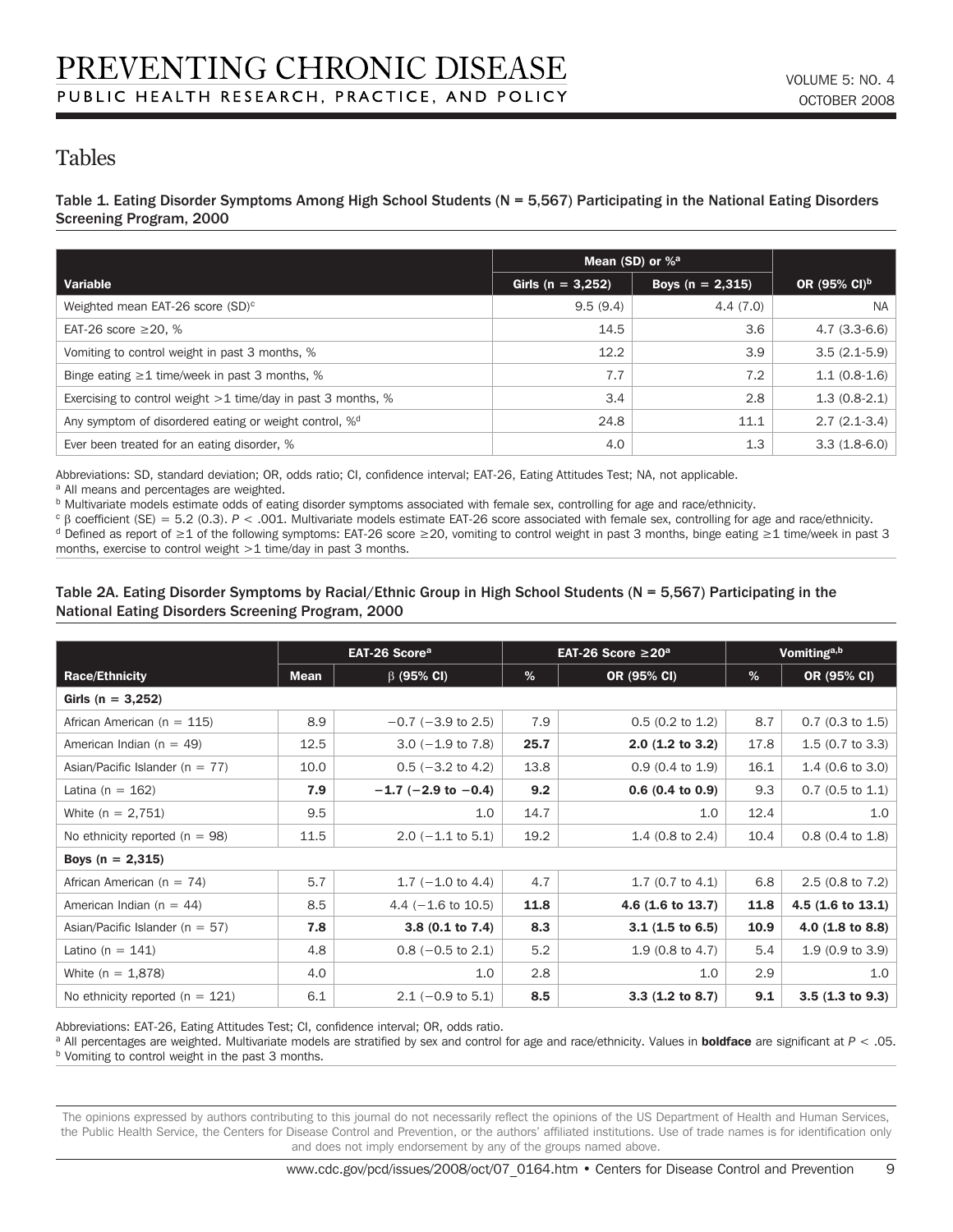## Tables

Table 1. Eating Disorder Symptoms Among High School Students (N = 5,567) Participating in the National Eating Disorders Screening Program, 2000

|                                                                    | Mean (SD) or $%$ <sup>a</sup> |                      |                          |
|--------------------------------------------------------------------|-------------------------------|----------------------|--------------------------|
| Variable                                                           | Girls ( $n = 3,252$ )         | Boys ( $n = 2,315$ ) | OR (95% CI) <sup>b</sup> |
| Weighted mean EAT-26 score (SD) <sup>c</sup>                       | 9.5(9.4)                      | 4.4(7.0)             | <b>NA</b>                |
| EAT-26 score $\geq$ 20, %                                          | 14.5                          | 3.6                  | $4.7(3.3-6.6)$           |
| Vomiting to control weight in past 3 months, %                     | 12.2                          | 3.9                  | $3.5(2.1-5.9)$           |
| Binge eating $\geq 1$ time/week in past 3 months, %                | 7.7                           | 7.2                  | $1.1(0.8-1.6)$           |
| Exercising to control weight $>1$ time/day in past 3 months, %     | 3.4                           | 2.8                  | $1.3(0.8-2.1)$           |
| Any symptom of disordered eating or weight control, % <sup>d</sup> | 24.8                          | 11.1                 | $2.7(2.1-3.4)$           |
| Ever been treated for an eating disorder, %                        | 4.0                           | 1,3                  | $3.3(1.8-6.0)$           |

Abbreviations: SD, standard deviation; OR, odds ratio; CI, confidence interval; EAT-26, Eating Attitudes Test; NA, not applicable.

a All means and percentages are weighted.

b Multivariate models estimate odds of eating disorder symptoms associated with female sex, controlling for age and race/ethnicity.

<sup>c</sup> β coefficient (SE) = 5.2 (0.3). *P* < .001. Multivariate models estimate EAT-26 score associated with female sex, controlling for age and race/ethnicity. <sup>d</sup> Defined as report of ≥1 of the following symptoms: EAT-26 score ≥20, vomiting to control weight in past 3 months, binge eating ≥1 time/week in past 3

months, exercise to control weight >1 time/day in past 3 months.

#### Table 2A. Eating Disorder Symptoms by Racial/Ethnic Group in High School Students (N = 5,567) Participating in the National Eating Disorders Screening Program, 2000

|                                     |             | EAT-26 Score <sup>a</sup>     |      | EAT-26 Score $\geq$ 20 <sup>a</sup> | Vomiting <sup>a,b</sup> |                             |  |  |
|-------------------------------------|-------------|-------------------------------|------|-------------------------------------|-------------------------|-----------------------------|--|--|
| <b>Race/Ethnicity</b>               | <b>Mean</b> | $\beta$ (95% CI)              | %    | OR (95% CI)                         | %                       | OR (95% CI)                 |  |  |
| Girls ( $n = 3,252$ )               |             |                               |      |                                     |                         |                             |  |  |
| African American ( $n = 115$ )      | 8.9         | $-0.7$ ( $-3.9$ to 2.5)       | 7.9  | $0.5$ (0.2 to 1.2)                  | 8.7                     | $0.7$ (0.3 to 1.5)          |  |  |
| American Indian ( $n = 49$ )        | 12.5        | $3.0$ ( $-1.9$ to $7.8$ )     | 25.7 | $2.0$ (1.2 to 3.2)                  | 17.8                    | $1.5$ (0.7 to 3.3)          |  |  |
| Asian/Pacific Islander ( $n = 77$ ) | 10.0        | $0.5$ ( $-3.2$ to 4.2)        | 13.8 | $0.9$ (0.4 to 1.9)                  | 16.1                    | $1.4$ (0.6 to 3.0)          |  |  |
| Latina ( $n = 162$ )                | 7.9         | $-1.7$ (-2.9 to -0.4)         | 9.2  | $0.6(0.4 \text{ to } 0.9)$          | 9.3                     | $0.7$ (0.5 to 1.1)          |  |  |
| White $(n = 2,751)$                 | 9.5         | 1.0                           | 14.7 | 1.0                                 | 12.4                    | 1.0                         |  |  |
| No ethnicity reported $(n = 98)$    | 11.5        | $2.0$ ( $-1.1$ to 5.1)        | 19.2 | 1.4 $(0.8 \text{ to } 2.4)$         | 10.4                    | $0.8$ (0.4 to 1.8)          |  |  |
| Boys ( $n = 2,315$ )                |             |                               |      |                                     |                         |                             |  |  |
| African American ( $n = 74$ )       | 5.7         | $1.7 (-1.0 to 4.4)$           | 4.7  | $1.7$ (0.7 to 4.1)                  | 6.8                     | $2.5$ (0.8 to 7.2)          |  |  |
| American Indian ( $n = 44$ )        | 8.5         | 4.4 $(-1.6 \text{ to } 10.5)$ | 11.8 | 4.6 $(1.6 \text{ to } 13.7)$        | 11.8                    | $4.5(1.6 \text{ to } 13.1)$ |  |  |
| Asian/Pacific Islander ( $n = 57$ ) | 7.8         | $3.8$ (0.1 to 7.4)            | 8.3  | $3.1(1.5 \text{ to } 6.5)$          | 10.9                    | $4.0$ (1.8 to 8.8)          |  |  |
| Latino ( $n = 141$ )                | 4.8         | $0.8$ ( $-0.5$ to 2.1)        | 5.2  | $1.9$ (0.8 to 4.7)                  | 5.4                     | $1.9(0.9 \text{ to } 3.9)$  |  |  |
| White $(n = 1,878)$                 | 4.0         | 1.0                           | 2.8  | 1.0                                 | 2.9                     | 1.0                         |  |  |
| No ethnicity reported ( $n = 121$ ) | 6.1         | $2.1 (-0.9 \text{ to } 5.1)$  | 8.5  | $3.3(1.2 \text{ to } 8.7)$          | 9.1                     | 3.5(1.3 to 9.3)             |  |  |

Abbreviations: EAT-26, Eating Attitudes Test; CI, confidence interval; OR, odds ratio.

a All percentages are weighted. Multivariate models are stratified by sex and control for age and race/ethnicity. Values in boldface are significant at *P* < .05. b Vomiting to control weight in the past 3 months.

The opinions expressed by authors contributing to this journal do not necessarily reflect the opinions of the US Department of Health and Human Services, the Public Health Service, the Centers for Disease Control and Prevention, or the authors' affiliated institutions. Use of trade names is for identification only and does not imply endorsement by any of the groups named above.